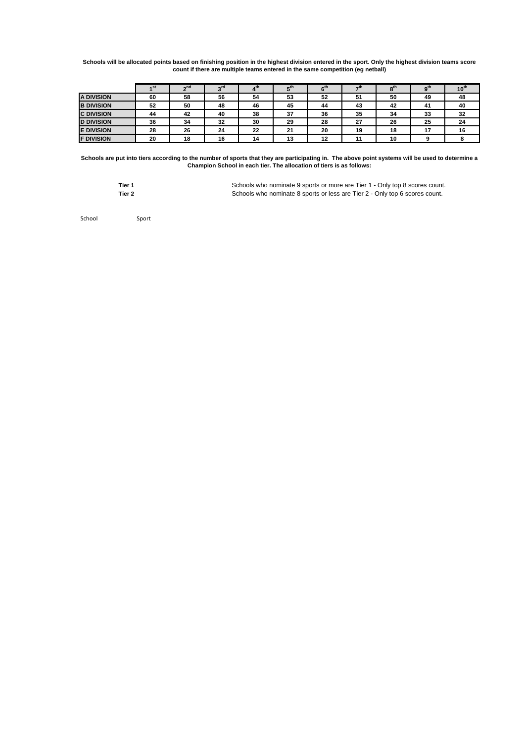**Schools will be allocated points based on finishing position in the highest division entered in the sport. Only the highest division teams score count if there are multiple teams entered in the same competition (eg netball)**

|                   | ⊿ St | ეnd | <b>ord</b> |    | $E^{th}$ | 6 <sup>th</sup> | ーth | 8 <sup>th</sup> | $\mathbf{a}^{\text{th}}$ | $10^{th}$ |
|-------------------|------|-----|------------|----|----------|-----------------|-----|-----------------|--------------------------|-----------|
| <b>A DIVISION</b> | 60   | 58  | 56         | 54 | 53       | 52              | 51  | 50              | 49                       | 48        |
| <b>B DIVISION</b> | 52   | 50  | 48         | 46 | 45       | 44              | 43  | 42              | 41                       | 40        |
| <b>C DIVISION</b> | 44   | 42  | 40         | 38 | 37       | 36              | 35  | 34              | 33                       | 32        |
| <b>D DIVISION</b> | 36   | 34  | 32         | 30 | 29       | 28              | 27  | 26              | 25                       | 24        |
| <b>E DIVISION</b> | 28   | 26  | 24         | 22 | 21       | 20              | 19  | 18              | 47                       | 16        |
| <b>F DIVISION</b> | 20   | 18  | 16         | 14 | 13       | 12              | 11  | 10              |                          |           |

**Schools are put into tiers according to the number of sports that they are participating in. The above point systems will be used to determine a Champion School in each tier. The allocation of tiers is as follows:**

| Tier 1 | Schools who nominate 9 sports or more are Tier 1 - Only top 8 scores count. |
|--------|-----------------------------------------------------------------------------|
| Tier 2 | Schools who nominate 8 sports or less are Tier 2 - Only top 6 scores count. |

School Sport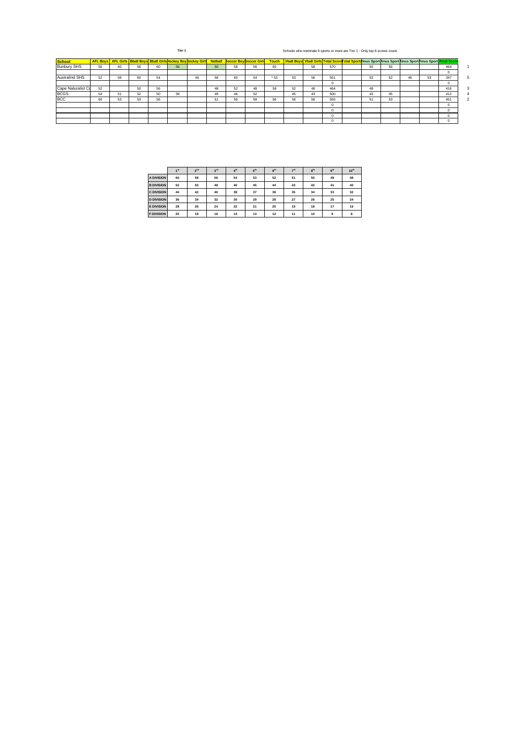**Tier 1** Schools who nominate 9 sports or more are Tier 1 - Only top 8 scores count.

| <b>School</b>         |    |    |    | AFL Boys AFL Girls Bball Boys Bball Girls lockey Boy lockey Girl Netball |    |    |    |    | <b>Soccer Boy Soccer Girls</b> | <b>Touch</b> |    |    |     | Vball Boys Vball Girls Total ScoreTotal Sportslinus Sport linus Sport linus Sport linus Sport Final Score |    |    |    |    |     |  |
|-----------------------|----|----|----|--------------------------------------------------------------------------|----|----|----|----|--------------------------------|--------------|----|----|-----|-----------------------------------------------------------------------------------------------------------|----|----|----|----|-----|--|
| <b>Bunbury SHS</b>    | 56 | 60 | 56 | 60                                                                       | 56 |    | 50 | 58 | 56                             | 60           |    | 58 | 570 |                                                                                                           | 50 | 56 |    |    | 464 |  |
|                       |    |    |    |                                                                          |    |    |    |    |                                |              |    |    |     |                                                                                                           |    |    |    |    |     |  |
| <b>Australind SHS</b> | 52 | 58 | 60 | 54                                                                       |    | 46 | 58 | 60 | 54                             | * 53         | 53 | 56 | 551 |                                                                                                           | 53 | 52 | 46 | 53 | 347 |  |
|                       |    |    |    |                                                                          |    |    |    |    |                                |              |    |    |     |                                                                                                           |    |    |    |    |     |  |
| Cape Naturalist Co    | 52 |    | 50 | 56                                                                       |    |    | 48 | 52 | 48                             | 58           | 52 | 48 | 464 |                                                                                                           | 48 |    |    |    | 416 |  |
| <b>BCGS</b>           | 54 | 51 | 52 | 50                                                                       | 58 |    | 49 | 46 | 52                             |              | 45 | 43 | 500 |                                                                                                           | 43 | 45 |    |    | 412 |  |
| <b>BCC</b>            | 60 | 53 | 53 | 56                                                                       |    |    | 51 | 56 | 58                             | 56           | 56 | 56 | 555 |                                                                                                           | 51 | 53 |    |    | 451 |  |
|                       |    |    |    |                                                                          |    |    |    |    |                                |              |    |    |     |                                                                                                           |    |    |    |    |     |  |
|                       |    |    |    |                                                                          |    |    |    |    |                                |              |    |    |     |                                                                                                           |    |    |    |    |     |  |
|                       |    |    |    |                                                                          |    |    |    |    |                                |              |    |    |     |                                                                                                           |    |    |    |    | O   |  |
|                       |    |    |    |                                                                          |    |    |    |    |                                |              |    |    |     |                                                                                                           |    |    |    |    |     |  |

|                   | A <sup>51</sup> | 2 <sub>nd</sub> | 3 <sup>rd</sup> | 4 <sup>th</sup> | 5 <sup>th</sup> | 6 <sup>th</sup> | $-th$ | 8 <sup>th</sup> | a <sup>th</sup> | $10^{th}$ |
|-------------------|-----------------|-----------------|-----------------|-----------------|-----------------|-----------------|-------|-----------------|-----------------|-----------|
| <b>A DIVISION</b> | 60              | 58              | 56              | 54              | 53              | 52              | 51    | 50              | 49              | 48        |
| <b>B DIVISION</b> | 52              | 50              | 48              | 46              | 45              | 44              | 43    | 42              | 41              | 40        |
| <b>C DIVISION</b> | 44              | 42              | 40              | 38              | 37              | 36              | 35    | 34              | 33              | 32        |
| <b>D DIVISION</b> | 36              | 34              | 32              | 30              | 29              | 28              | 27    | 26              | 25              | 24        |
| <b>E DIVISION</b> | 28              | 26              | 24              | 22              | 21              | 20              | 19    | 18              | 17              | 16        |
| <b>F DIVISION</b> | 20              | 18              | 16              | 14              | 13              | 12              | 11    | 10              | $\mathbf{a}$    | 8         |